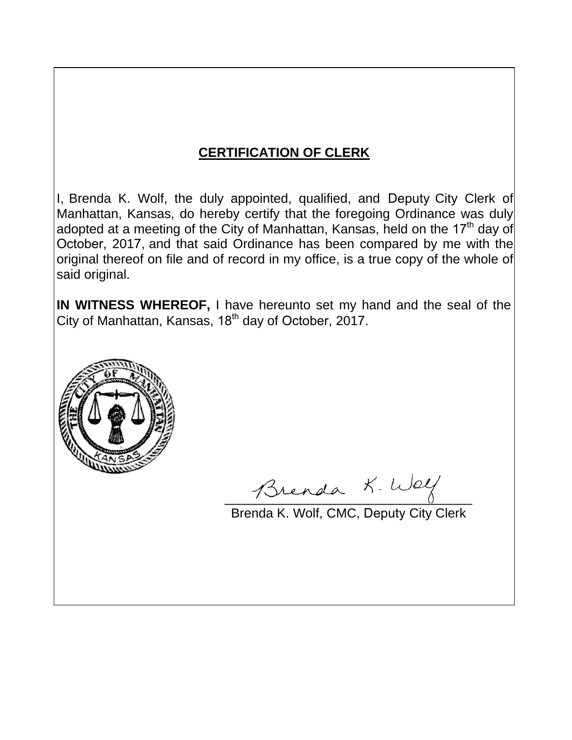# **CERTIFICATION OF CLERK**

I, Brenda K. Wolf, the duly appointed, qualified, and Deputy City Clerk of Manhattan, Kansas, do hereby certify that the foregoing Ordinance was duly adopted at a meeting of the City of Manhattan, Kansas, held on the 17<sup>th</sup> day of October, 2017, and that said Ordinance has been compared by me with the original thereof on file and of record in my office, is a true copy of the whole of said original.

**IN WITNESS WHEREOF,** I have hereunto set my hand and the seal of the City of Manhattan, Kansas, 18<sup>th</sup> day of October, 2017.



Brenda K. Way

Brenda K. Wolf, CMC, Deputy City Clerk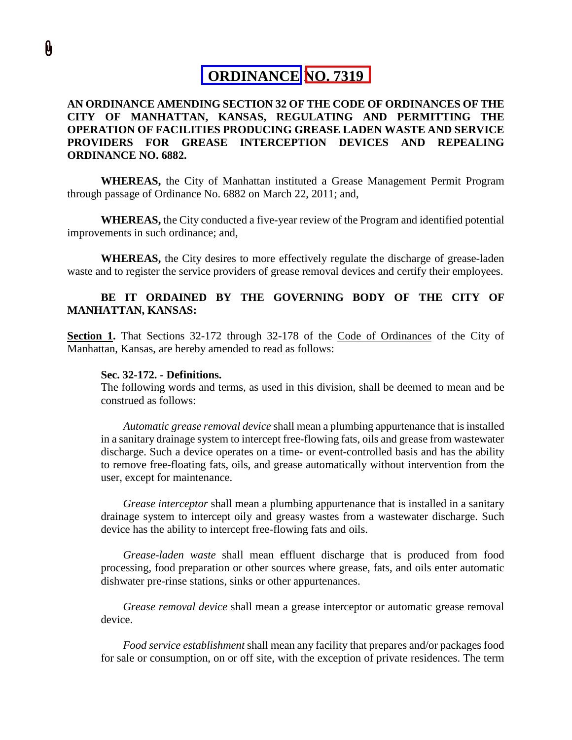# **ORDINANCE NO. 7319**

## **AN ORDINANCE AMENDING SECTION 32 OF THE CODE OF ORDINANCES OF THE CITY OF MANHATTAN, KANSAS, REGULATING AND PERMITTING THE OPERATION OF FACILITIES PRODUCING GREASE LADEN WASTE AND SERVICE PROVIDERS FOR GREASE INTERCEPTION DEVICES AND REPEALING ORDINANCE NO. 6882.**

**WHEREAS,** the City of Manhattan instituted a Grease Management Permit Program through passage of Ordinance No. 6882 on March 22, 2011; and,

**WHEREAS,** the City conducted a five-year review of the Program and identified potential improvements in such ordinance; and,

**WHEREAS,** the City desires to more effectively regulate the discharge of grease-laden waste and to register the service providers of grease removal devices and certify their employees.

### **BE IT ORDAINED BY THE GOVERNING BODY OF THE CITY OF MANHATTAN, KANSAS:**

**Section 1.** That Sections 32-172 through 32-178 of the Code of Ordinances of the City of Manhattan, Kansas, are hereby amended to read as follows:

### **Sec. 32-172. - Definitions.**

The following words and terms, as used in this division, shall be deemed to mean and be construed as follows:

*Automatic grease removal device* shall mean a plumbing appurtenance that is installed in a sanitary drainage system to intercept free-flowing fats, oils and grease from wastewater discharge. Such a device operates on a time- or event-controlled basis and has the ability to remove free-floating fats, oils, and grease automatically without intervention from the user, except for maintenance.

*Grease interceptor* shall mean a plumbing appurtenance that is installed in a sanitary drainage system to intercept oily and greasy wastes from a wastewater discharge. Such device has the ability to intercept free-flowing fats and oils.

*Grease-laden waste* shall mean effluent discharge that is produced from food processing, food preparation or other sources where grease, fats, and oils enter automatic dishwater pre-rinse stations, sinks or other appurtenances.

*Grease removal device* shall mean a grease interceptor or automatic grease removal device.

*Food service establishment* shall mean any facility that prepares and/or packages food for sale or consumption, on or off site, with the exception of private residences. The term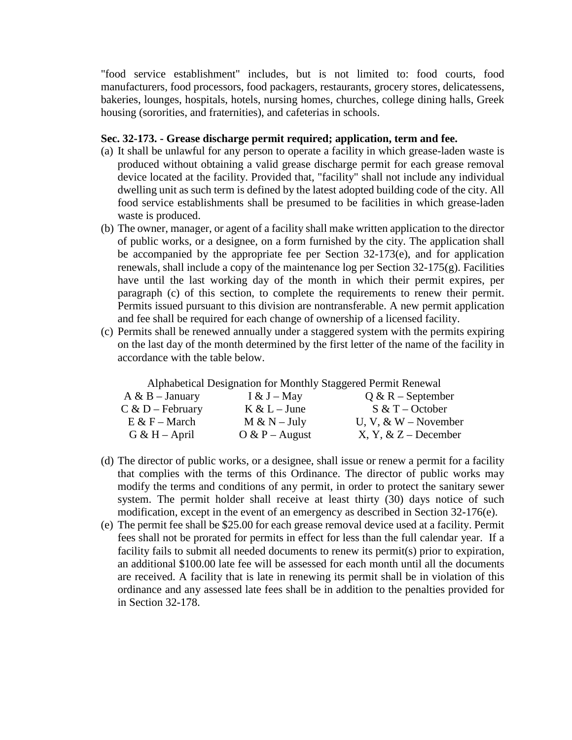"food service establishment" includes, but is not limited to: food courts, food manufacturers, food processors, food packagers, restaurants, grocery stores, delicatessens, bakeries, lounges, hospitals, hotels, nursing homes, churches, college dining halls, Greek housing (sororities, and fraternities), and cafeterias in schools.

### **Sec. 32-173. - Grease discharge permit required; application, term and fee.**

- (a) It shall be unlawful for any person to operate a facility in which grease-laden waste is produced without obtaining a valid grease discharge permit for each grease removal device located at the facility. Provided that, "facility" shall not include any individual dwelling unit as such term is defined by the latest adopted building code of the city. All food service establishments shall be presumed to be facilities in which grease-laden waste is produced.
- (b) The owner, manager, or agent of a facility shall make written application to the director of public works, or a designee, on a form furnished by the city. The application shall be accompanied by the appropriate fee per Section 32-173(e), and for application renewals, shall include a copy of the maintenance log per Section 32-175(g). Facilities have until the last working day of the month in which their permit expires, per paragraph (c) of this section, to complete the requirements to renew their permit. Permits issued pursuant to this division are nontransferable. A new permit application and fee shall be required for each change of ownership of a licensed facility.
- (c) Permits shall be renewed annually under a staggered system with the permits expiring on the last day of the month determined by the first letter of the name of the facility in accordance with the table below.

Alphabetical Designation for Monthly Staggered Permit Renewal

| $A \& B - January$ | I & J – May      | $Q & R - September$     |
|--------------------|------------------|-------------------------|
| $C & D - February$ | $K & L$ – June   | $S & T - October$       |
| $E & F - March$    | $M & N - July$   | U, V, & W – November    |
| $G & H - April$    | $O & P - August$ | $X, Y, \& Z - December$ |

- (d) The director of public works, or a designee, shall issue or renew a permit for a facility that complies with the terms of this Ordinance. The director of public works may modify the terms and conditions of any permit, in order to protect the sanitary sewer system. The permit holder shall receive at least thirty (30) days notice of such modification, except in the event of an emergency as described in Section 32-176(e).
- (e) The permit fee shall be \$25.00 for each grease removal device used at a facility. Permit fees shall not be prorated for permits in effect for less than the full calendar year. If a facility fails to submit all needed documents to renew its permit(s) prior to expiration, an additional \$100.00 late fee will be assessed for each month until all the documents are received. A facility that is late in renewing its permit shall be in violation of this ordinance and any assessed late fees shall be in addition to the penalties provided for in Section 32-178.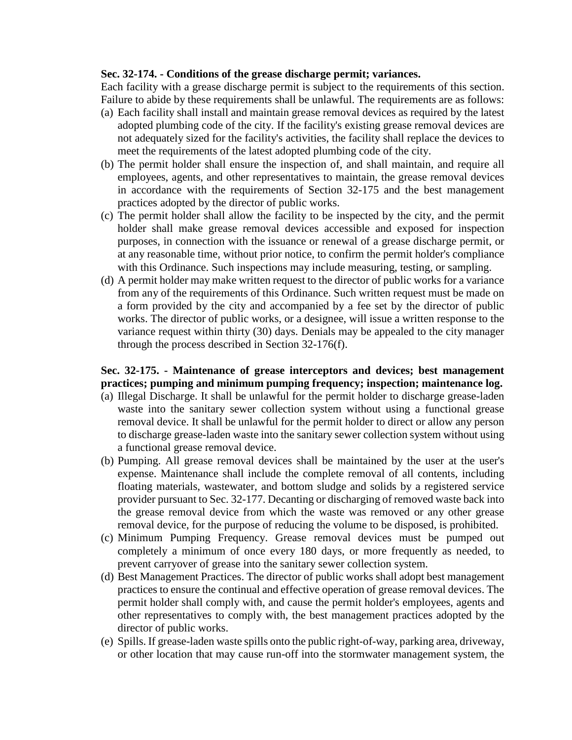### **Sec. 32-174. - Conditions of the grease discharge permit; variances.**

Each facility with a grease discharge permit is subject to the requirements of this section. Failure to abide by these requirements shall be unlawful. The requirements are as follows:

- (a) Each facility shall install and maintain grease removal devices as required by the latest adopted plumbing code of the city. If the facility's existing grease removal devices are not adequately sized for the facility's activities, the facility shall replace the devices to meet the requirements of the latest adopted plumbing code of the city.
- (b) The permit holder shall ensure the inspection of, and shall maintain, and require all employees, agents, and other representatives to maintain, the grease removal devices in accordance with the requirements of [Section 32-175](https://library.municode.com/ks/manhattan/codes/code_of_ordinances?nodeId=COOR_CH32UT_ARTIIISE_DIV5GRMAPEPR_S32-175MAGRINDEBEMAPRIN) and the best management practices adopted by the director of public works.
- (c) The permit holder shall allow the facility to be inspected by the city, and the permit holder shall make grease removal devices accessible and exposed for inspection purposes, in connection with the issuance or renewal of a grease discharge permit, or at any reasonable time, without prior notice, to confirm the permit holder's compliance with this Ordinance. Such inspections may include measuring, testing, or sampling.
- (d) A permit holder may make written request to the director of public works for a variance from any of the requirements of this Ordinance. Such written request must be made on a form provided by the city and accompanied by a fee set by the director of public works. The director of public works, or a designee, will issue a written response to the variance request within thirty (30) days. Denials may be appealed to the city manager through the process described in Section 32-176(f).

# **Sec. 32-175. - Maintenance of grease interceptors and devices; best management practices; pumping and minimum pumping frequency; inspection; maintenance log.**

- (a) Illegal Discharge. It shall be unlawful for the permit holder to discharge grease-laden waste into the sanitary sewer collection system without using a functional grease removal device. It shall be unlawful for the permit holder to direct or allow any person to discharge grease-laden waste into the sanitary sewer collection system without using a functional grease removal device.
- (b) Pumping. All grease removal devices shall be maintained by the user at the user's expense. Maintenance shall include the complete removal of all contents, including floating materials, wastewater, and bottom sludge and solids by a registered service provider pursuant to Sec. 32-177. Decanting or discharging of removed waste back into the grease removal device from which the waste was removed or any other grease removal device, for the purpose of reducing the volume to be disposed, is prohibited.
- (c) Minimum Pumping Frequency. Grease removal devices must be pumped out completely a minimum of once every 180 days, or more frequently as needed, to prevent carryover of grease into the sanitary sewer collection system.
- (d) Best Management Practices. The director of public works shall adopt best management practices to ensure the continual and effective operation of grease removal devices. The permit holder shall comply with, and cause the permit holder's employees, agents and other representatives to comply with, the best management practices adopted by the director of public works.
- (e) Spills. If grease-laden waste spills onto the public right-of-way, parking area, driveway, or other location that may cause run-off into the stormwater management system, the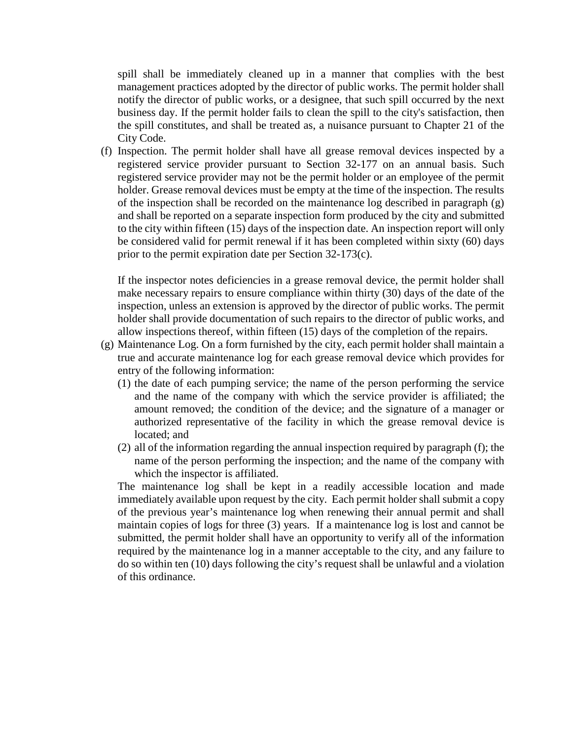spill shall be immediately cleaned up in a manner that complies with the best management practices adopted by the director of public works. The permit holder shall notify the director of public works, or a designee, that such spill occurred by the next business day. If the permit holder fails to clean the spill to the city's satisfaction, then the spill constitutes, and shall be treated as, a nuisance pursuant to Chapter 21 of the City Code.

(f) Inspection. The permit holder shall have all grease removal devices inspected by a registered service provider pursuant to Section 32-177 on an annual basis. Such registered service provider may not be the permit holder or an employee of the permit holder. Grease removal devices must be empty at the time of the inspection. The results of the inspection shall be recorded on the maintenance log described in paragraph (g) and shall be reported on a separate inspection form produced by the city and submitted to the city within fifteen (15) days of the inspection date. An inspection report will only be considered valid for permit renewal if it has been completed within sixty (60) days prior to the permit expiration date per Section 32-173(c).

If the inspector notes deficiencies in a grease removal device, the permit holder shall make necessary repairs to ensure compliance within thirty (30) days of the date of the inspection, unless an extension is approved by the director of public works. The permit holder shall provide documentation of such repairs to the director of public works, and allow inspections thereof, within fifteen (15) days of the completion of the repairs.

- (g) Maintenance Log. On a form furnished by the city, each permit holder shall maintain a true and accurate maintenance log for each grease removal device which provides for entry of the following information:
	- (1) the date of each pumping service; the name of the person performing the service and the name of the company with which the service provider is affiliated; the amount removed; the condition of the device; and the signature of a manager or authorized representative of the facility in which the grease removal device is located; and
	- (2) all of the information regarding the annual inspection required by paragraph (f); the name of the person performing the inspection; and the name of the company with which the inspector is affiliated.

The maintenance log shall be kept in a readily accessible location and made immediately available upon request by the city. Each permit holder shall submit a copy of the previous year's maintenance log when renewing their annual permit and shall maintain copies of logs for three (3) years. If a maintenance log is lost and cannot be submitted, the permit holder shall have an opportunity to verify all of the information required by the maintenance log in a manner acceptable to the city, and any failure to do so within ten (10) days following the city's request shall be unlawful and a violation of this ordinance.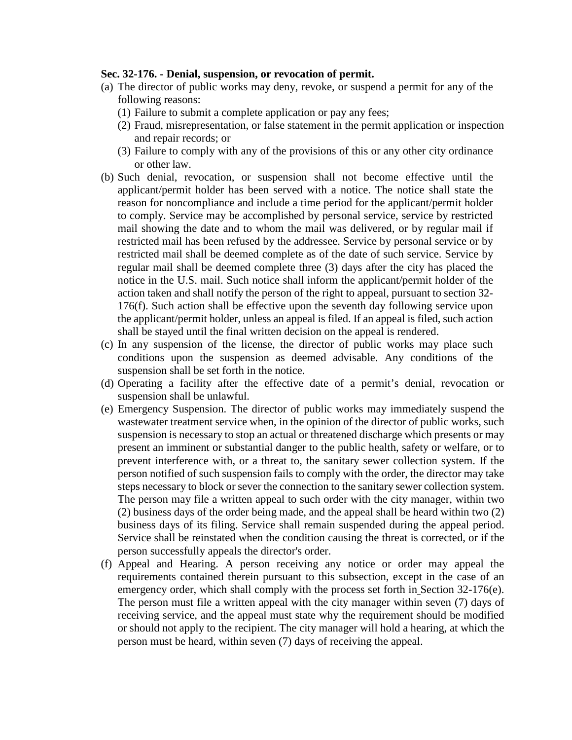### **Sec. 32-176. - Denial, suspension, or revocation of permit.**

- (a) The director of public works may deny, revoke, or suspend a permit for any of the following reasons:
	- (1) Failure to submit a complete application or pay any fees;
	- (2) Fraud, misrepresentation, or false statement in the permit application or inspection and repair records; or
	- (3) Failure to comply with any of the provisions of this or any other city ordinance or other law.
- (b) Such denial, revocation, or suspension shall not become effective until the applicant/permit holder has been served with a notice. The notice shall state the reason for noncompliance and include a time period for the applicant/permit holder to comply. Service may be accomplished by personal service, service by restricted mail showing the date and to whom the mail was delivered, or by regular mail if restricted mail has been refused by the addressee. Service by personal service or by restricted mail shall be deemed complete as of the date of such service. Service by regular mail shall be deemed complete three (3) days after the city has placed the notice in the U.S. mail. Such notice shall inform the applicant/permit holder of the action taken and shall notify the person of the right to appeal, pursuant to section 32- 176(f). Such action shall be effective upon the seventh day following service upon the applicant/permit holder, unless an appeal is filed. If an appeal is filed, such action shall be stayed until the final written decision on the appeal is rendered.
- (c) In any suspension of the license, the director of public works may place such conditions upon the suspension as deemed advisable. Any conditions of the suspension shall be set forth in the notice.
- (d) Operating a facility after the effective date of a permit's denial, revocation or suspension shall be unlawful.
- (e) Emergency Suspension. The director of public works may immediately suspend the wastewater treatment service when, in the opinion of the director of public works, such suspension is necessary to stop an actual or threatened discharge which presents or may present an imminent or substantial danger to the public health, safety or welfare, or to prevent interference with, or a threat to, the sanitary sewer collection system. If the person notified of such suspension fails to comply with the order, the director may take steps necessary to block or sever the connection to the sanitary sewer collection system. The person may file a written appeal to such order with the city manager, within two (2) business days of the order being made, and the appeal shall be heard within two (2) business days of its filing. Service shall remain suspended during the appeal period. Service shall be reinstated when the condition causing the threat is corrected, or if the person successfully appeals the director's order.
- (f) Appeal and Hearing. A person receiving any notice or order may appeal the requirements contained therein pursuant to this subsection, except in the case of an emergency order, which shall comply with the process set forth in Section 32-176(e). The person must file a written appeal with the city manager within seven (7) days of receiving service, and the appeal must state why the requirement should be modified or should not apply to the recipient. The city manager will hold a hearing, at which the person must be heard, within seven (7) days of receiving the appeal.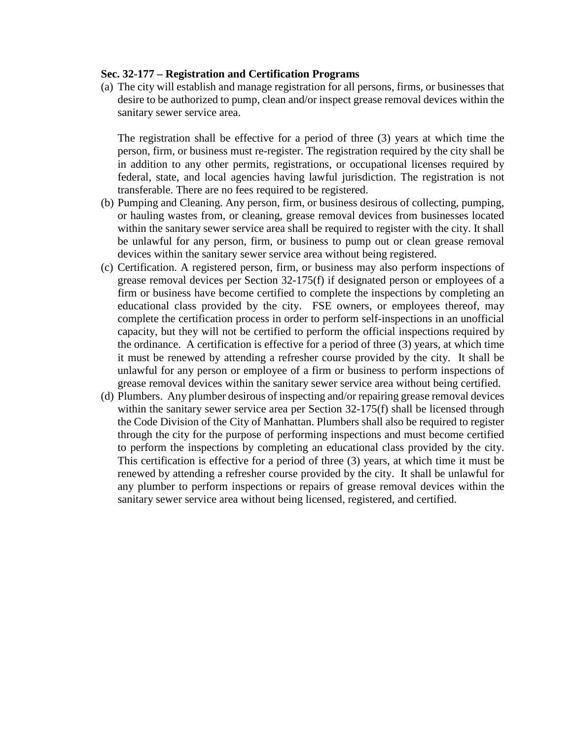### **Sec. 32-177 – Registration and Certification Programs**

(a) The city will establish and manage registration for all persons, firms, or businesses that desire to be authorized to pump, clean and/or inspect grease removal devices within the sanitary sewer service area.

The registration shall be effective for a period of three (3) years at which time the person, firm, or business must re-register. The registration required by the city shall be in addition to any other permits, registrations, or occupational licenses required by federal, state, and local agencies having lawful jurisdiction. The registration is not transferable. There are no fees required to be registered.

- (b) Pumping and Cleaning. Any person, firm, or business desirous of collecting, pumping, or hauling wastes from, or cleaning, grease removal devices from businesses located within the sanitary sewer service area shall be required to register with the city. It shall be unlawful for any person, firm, or business to pump out or clean grease removal devices within the sanitary sewer service area without being registered.
- (c) Certification. A registered person, firm, or business may also perform inspections of grease removal devices per Section 32-175(f) if designated person or employees of a firm or business have become certified to complete the inspections by completing an educational class provided by the city. FSE owners, or employees thereof, may complete the certification process in order to perform self-inspections in an unofficial capacity, but they will not be certified to perform the official inspections required by the ordinance. A certification is effective for a period of three (3) years, at which time it must be renewed by attending a refresher course provided by the city. It shall be unlawful for any person or employee of a firm or business to perform inspections of grease removal devices within the sanitary sewer service area without being certified.
- (d) Plumbers. Any plumber desirous of inspecting and/or repairing grease removal devices within the sanitary sewer service area per Section 32-175(f) shall be licensed through the Code Division of the City of Manhattan. Plumbers shall also be required to register through the city for the purpose of performing inspections and must become certified to perform the inspections by completing an educational class provided by the city. This certification is effective for a period of three (3) years, at which time it must be renewed by attending a refresher course provided by the city. It shall be unlawful for any plumber to perform inspections or repairs of grease removal devices within the sanitary sewer service area without being licensed, registered, and certified.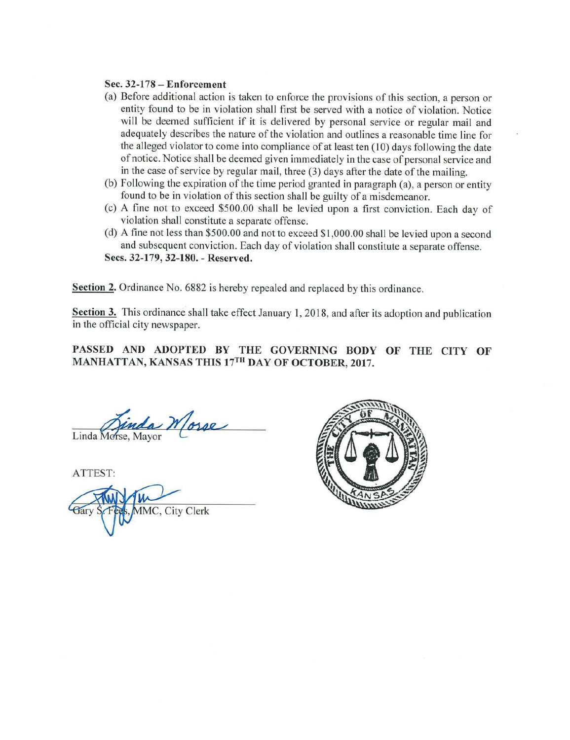### Sec. 32-178 - Enforcement

- (a) Before additional action is taken to enforce the provisions of this section, a person or entity found to be in violation shall first be served with a notice of violation. Notice will be deemed sufficient if it is delivered by personal service or regular mail and adequately describes the nature of the violation and outlines a reasonable time line for the alleged violator to come into compliance of at least ten (10) days following the date of notice. Notice shall be deemed given immediately in the case of personal service and in the case of service by regular mail, three (3) days after the date of the mailing.
- (b) Following the expiration of the time period granted in paragraph (a), a person or entity found to be in violation of this section shall be guilty of a misdemeanor.
- (c) A fine not to exceed \$500.00 shall be levied upon a first conviction. Each day of violation shall constitute a separate offense.
- (d) A fine not less than \$500.00 and not to exceed \$1,000.00 shall be levied upon a second and subsequent conviction. Each day of violation shall constitute a separate offense. Secs. 32-179, 32-180. - Reserved.

**Section 2.** Ordinance No. 6882 is hereby repealed and replaced by this ordinance.

Section 3. This ordinance shall take effect January 1, 2018, and after its adoption and publication in the official city newspaper.

### PASSED AND ADOPTED BY THE GOVERNING BODY OF THE CITY OF MANHATTAN, KANSAS THIS 17TH DAY OF OCTOBER, 2017.

inda Morse Linda Morse, Mayor

ATTEST:

**MMC, City Clerk**